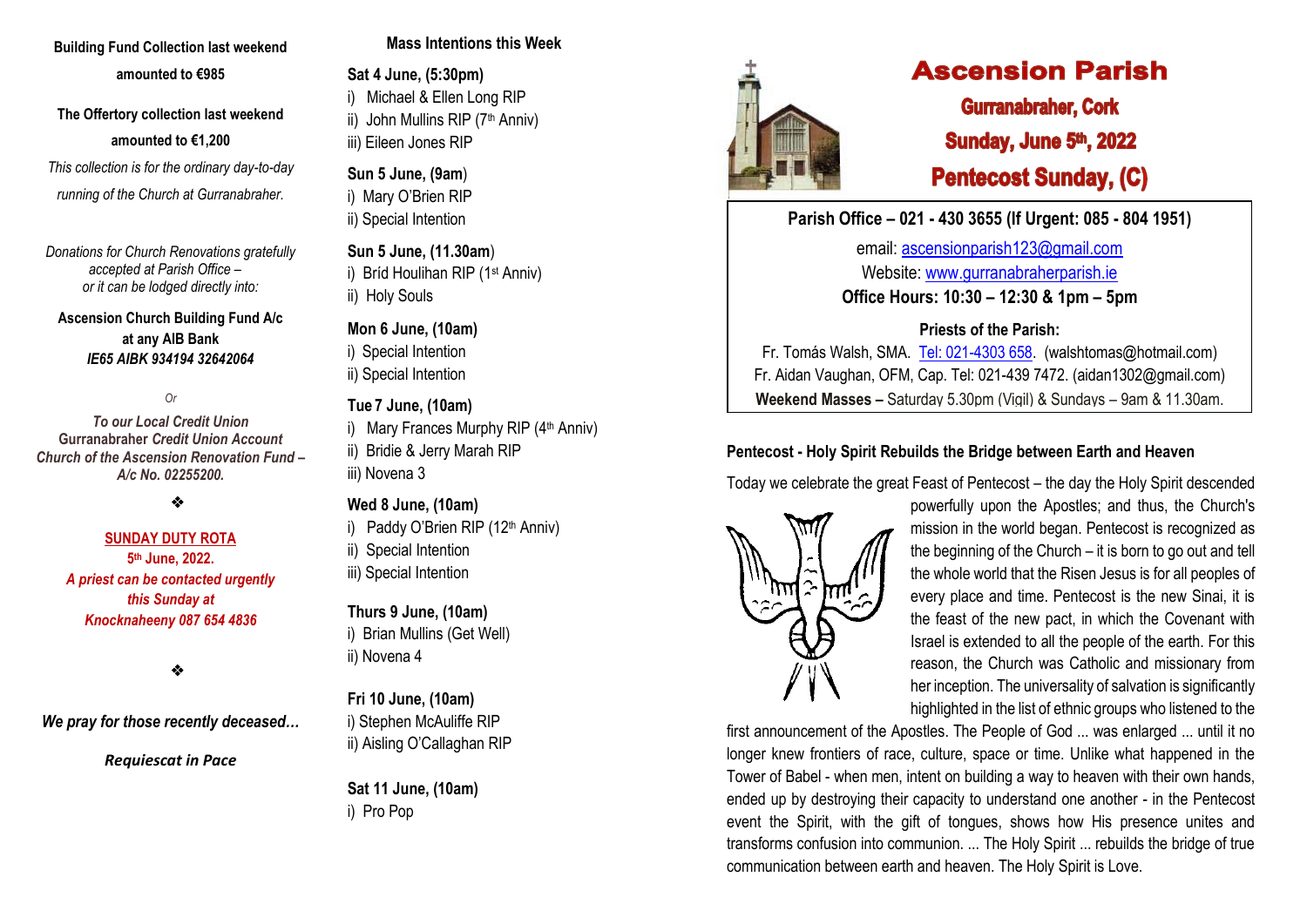# **Building Fund Collection last weekend amounted to €985**

**The Offertory collection last weekend amounted to €1,200**

*This collection is for the ordinary day-to-day running of the Church at Gurranabraher.*

*Donations for Church Renovations gratefully accepted at Parish Office – or it can be lodged directly into:*

**Ascension Church Building Fund A/c at any AIB Bank**  *IE65 AIBK 934194 32642064*

*Or* 

*To our Local Credit Union* **Gurranabraher** *Credit Union Account Church of the Ascension Renovation Fund – A/c No. 02255200.*

# ❖

**SUNDAY DUTY ROTA** 

**5 th June, 2022.** *A priest can be contacted urgently this Sunday at Knocknaheeny 087 654 4836*

## ❖

*We pray for those recently deceased…*

*Requiescat in Pace*

## **Mass Intentions this Week**

**Sat 4 June, (5:30pm)** i) Michael & Ellen Long RIP ii) John Mullins RIP (7<sup>th</sup> Anniv) iii) Eileen Jones RIP

# **Sun 5 June, (9am**) i) Mary O'Brien RIP ii) Special Intention

**Sun 5 June, (11.30am**) i) Bríd Houlihan RIP (1st Anniv) ii) Holy Souls

## **Mon 6 June, (10am)**

- i) Special Intention
- ii) Special Intention

## **Tue 7 June, (10am)**

- i) Mary Frances Murphy RIP (4<sup>th</sup> Anniv)
- ii) Bridie & Jerry Marah RIP iii) Novena 3

#### **Wed 8 June, (10am)**

- i) Paddy O'Brien RIP (12<sup>th</sup> Anniv)
- ii) Special Intention
- iii) Special Intention

# **Thurs 9 June, (10am)**

i) Brian Mullins (Get Well) ii) Novena 4

**Fri 10 June, (10am)** i) Stephen McAuliffe RIP ii) Aisling O'Callaghan RIP

**Sat 11 June, (10am)** i) Pro Pop



# **Ascension Parish**

**Gurranabraher, Cork** Sunday, June 5th, 2022 **Pentecost Sunday, (C)** 

**Parish Office – 021 - 430 3655 (If Urgent: 085 - 804 1951)**

email: [ascensionparish123@gmail.com](mailto:ascensionparish123@gmail.com) Website: [www.gurranabraherparish.ie](http://www.gurranabraherparish.ie/) **Office Hours: 10:30 – 12:30 & 1pm – 5pm**

# **Priests of the Parish:**

Fr. Tomás Walsh, SMA. [Tel: 021-4303 658.](mailto:Tel:%20021-4303%20658) (walshtomas@hotmail.com) Fr. Aidan Vaughan, OFM, Cap. Tel: 021-439 7472. [\(aidan1302@gmail.com\)](mailto:aidan1302@gmail.com) **Weekend Masses –** Saturday 5.30pm (Vigil) & Sundays – 9am & 11.30am.

# **Pentecost - Holy Spirit Rebuilds the Bridge between Earth and Heaven**

Today we celebrate the great Feast of Pentecost – the day the Holy Spirit descended



powerfully upon the Apostles; and thus, the Church's mission in the world began. Pentecost is recognized as the beginning of the Church – it is born to go out and tell the whole world that the Risen Jesus is for all peoples of every place and time. Pentecost is the new Sinai, it is the feast of the new pact, in which the Covenant with Israel is extended to all the people of the earth. For this reason, the Church was Catholic and missionary from her inception. The universality of salvation is significantly highlighted in the list of ethnic groups who listened to the

first announcement of the Apostles. The People of God ... was enlarged ... until it no longer knew frontiers of race, culture, space or time. Unlike what happened in the Tower of Babel - when men, intent on building a way to heaven with their own hands, ended up by destroying their capacity to understand one another - in the Pentecost event the Spirit, with the gift of tongues, shows how His presence unites and transforms confusion into communion. ... The Holy Spirit ... rebuilds the bridge of true communication between earth and heaven. The Holy Spirit is Love.